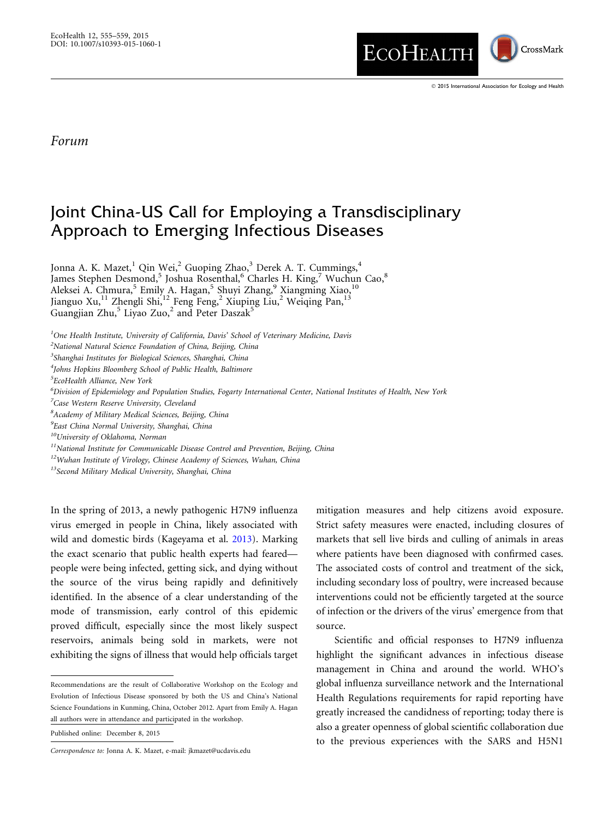

## Forum

## Joint China-US Call for Employing a Transdisciplinary Approach to Emerging Infectious Diseases

Jonna A. K. Mazet, <sup>1</sup> Qin Wei, <sup>2</sup> Guoping Zhao, <sup>3</sup> Derek A. T. Cummings, <sup>4</sup> James Stephen Desmond,<sup>5</sup> Joshua Rosenthal,<sup>6</sup> Charles H. King,<sup>7</sup> Wuchun Cao,<sup>8</sup> Aleksei A. Chmura,<sup>5</sup> Emily A. Hagan,<sup>5</sup> Shuyi Zhang,<sup>9</sup> Xiangming Xiao,<sup>10</sup> Jianguo Xu, 11 Zhengli Shi, 12 Feng Feng, 2 Xiuping Liu, 2 Weiqing Pan, 13 Guangjian Zhu,<sup>5</sup> Liyao Zuo,<sup>2</sup> and Peter Daszak<sup>5</sup>

<sup>1</sup>One Health Institute, University of California, Davis' School of Veterinary Medicine, Davis

 ${}^{2}$ National Natural Science Foundation of China, Beijing, China

<sup>3</sup>Shanghai Institutes for Biological Sciences, Shanghai, China

4 Johns Hopkins Bloomberg School of Public Health, Baltimore

5 EcoHealth Alliance, New York

6 Division of Epidemiology and Population Studies, Fogarty International Center, National Institutes of Health, New York

<sup>7</sup>Case Western Reserve University, Cleveland

<sup>8</sup> Academy of Military Medical Sciences, Beijing, China

<sup>9</sup>East China Normal University, Shanghai, China

10University of Oklahoma, Norman

 $11$ National Institute for Communicable Disease Control and Prevention, Beijing, China

<sup>12</sup>Wuhan Institute of Virology, Chinese Academy of Sciences, Wuhan, China

<sup>13</sup>Second Military Medical University, Shanghai, China

In the spring of 2013, a newly pathogenic H7N9 influenza virus emerged in people in China, likely associated with wild and domestic birds (Kageyama et al. [2013\)](#page-4-0). Marking the exact scenario that public health experts had feared people were being infected, getting sick, and dying without the source of the virus being rapidly and definitively identified. In the absence of a clear understanding of the mode of transmission, early control of this epidemic proved difficult, especially since the most likely suspect reservoirs, animals being sold in markets, were not exhibiting the signs of illness that would help officials target

Published online: December 8, 2015

mitigation measures and help citizens avoid exposure. Strict safety measures were enacted, including closures of markets that sell live birds and culling of animals in areas where patients have been diagnosed with confirmed cases. The associated costs of control and treatment of the sick, including secondary loss of poultry, were increased because interventions could not be efficiently targeted at the source of infection or the drivers of the virus' emergence from that source.

Scientific and official responses to H7N9 influenza highlight the significant advances in infectious disease management in China and around the world. WHO's global influenza surveillance network and the International Health Regulations requirements for rapid reporting have greatly increased the candidness of reporting; today there is also a greater openness of global scientific collaboration due to the previous experiences with the SARS and H5N1

Recommendations are the result of Collaborative Workshop on the Ecology and Evolution of Infectious Disease sponsored by both the US and China's National Science Foundations in Kunming, China, October 2012. Apart from Emily A. Hagan all authors were in attendance and participated in the workshop.

Correspondence to: Jonna A. K. Mazet, e-mail: jkmazet@ucdavis.edu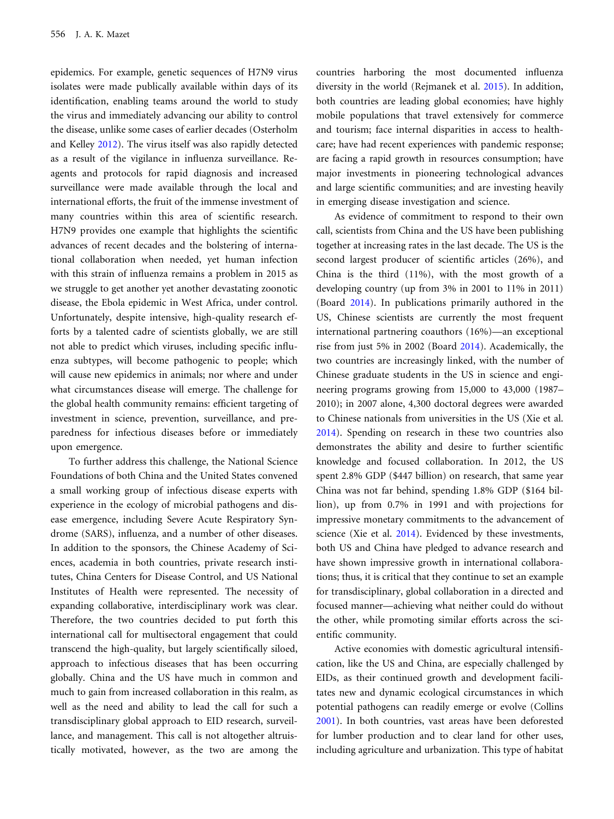epidemics. For example, genetic sequences of H7N9 virus isolates were made publically available within days of its identification, enabling teams around the world to study the virus and immediately advancing our ability to control the disease, unlike some cases of earlier decades (Osterholm and Kelley [2012\)](#page-4-0). The virus itself was also rapidly detected as a result of the vigilance in influenza surveillance. Reagents and protocols for rapid diagnosis and increased surveillance were made available through the local and international efforts, the fruit of the immense investment of many countries within this area of scientific research. H7N9 provides one example that highlights the scientific advances of recent decades and the bolstering of international collaboration when needed, yet human infection with this strain of influenza remains a problem in 2015 as we struggle to get another yet another devastating zoonotic disease, the Ebola epidemic in West Africa, under control. Unfortunately, despite intensive, high-quality research efforts by a talented cadre of scientists globally, we are still not able to predict which viruses, including specific influenza subtypes, will become pathogenic to people; which will cause new epidemics in animals; nor where and under what circumstances disease will emerge. The challenge for the global health community remains: efficient targeting of investment in science, prevention, surveillance, and preparedness for infectious diseases before or immediately upon emergence.

To further address this challenge, the National Science Foundations of both China and the United States convened a small working group of infectious disease experts with experience in the ecology of microbial pathogens and disease emergence, including Severe Acute Respiratory Syndrome (SARS), influenza, and a number of other diseases. In addition to the sponsors, the Chinese Academy of Sciences, academia in both countries, private research institutes, China Centers for Disease Control, and US National Institutes of Health were represented. The necessity of expanding collaborative, interdisciplinary work was clear. Therefore, the two countries decided to put forth this international call for multisectoral engagement that could transcend the high-quality, but largely scientifically siloed, approach to infectious diseases that has been occurring globally. China and the US have much in common and much to gain from increased collaboration in this realm, as well as the need and ability to lead the call for such a transdisciplinary global approach to EID research, surveillance, and management. This call is not altogether altruistically motivated, however, as the two are among the countries harboring the most documented influenza diversity in the world (Rejmanek et al. [2015\)](#page-4-0). In addition, both countries are leading global economies; have highly mobile populations that travel extensively for commerce and tourism; face internal disparities in access to healthcare; have had recent experiences with pandemic response; are facing a rapid growth in resources consumption; have major investments in pioneering technological advances and large scientific communities; and are investing heavily in emerging disease investigation and science.

As evidence of commitment to respond to their own call, scientists from China and the US have been publishing together at increasing rates in the last decade. The US is the second largest producer of scientific articles (26%), and China is the third (11%), with the most growth of a developing country (up from 3% in 2001 to 11% in 2011) (Board [2014\)](#page-4-0). In publications primarily authored in the US, Chinese scientists are currently the most frequent international partnering coauthors (16%)—an exceptional rise from just 5% in 2002 (Board [2014](#page-4-0)). Academically, the two countries are increasingly linked, with the number of Chinese graduate students in the US in science and engineering programs growing from 15,000 to 43,000 (1987– 2010); in 2007 alone, 4,300 doctoral degrees were awarded to Chinese nationals from universities in the US (Xie et al. [2014](#page-4-0)). Spending on research in these two countries also demonstrates the ability and desire to further scientific knowledge and focused collaboration. In 2012, the US spent 2.8% GDP (\$447 billion) on research, that same year China was not far behind, spending 1.8% GDP (\$164 billion), up from 0.7% in 1991 and with projections for impressive monetary commitments to the advancement of science (Xie et al. [2014](#page-4-0)). Evidenced by these investments, both US and China have pledged to advance research and have shown impressive growth in international collaborations; thus, it is critical that they continue to set an example for transdisciplinary, global collaboration in a directed and focused manner—achieving what neither could do without the other, while promoting similar efforts across the scientific community.

Active economies with domestic agricultural intensification, like the US and China, are especially challenged by EIDs, as their continued growth and development facilitates new and dynamic ecological circumstances in which potential pathogens can readily emerge or evolve (Collins [2001](#page-4-0)). In both countries, vast areas have been deforested for lumber production and to clear land for other uses, including agriculture and urbanization. This type of habitat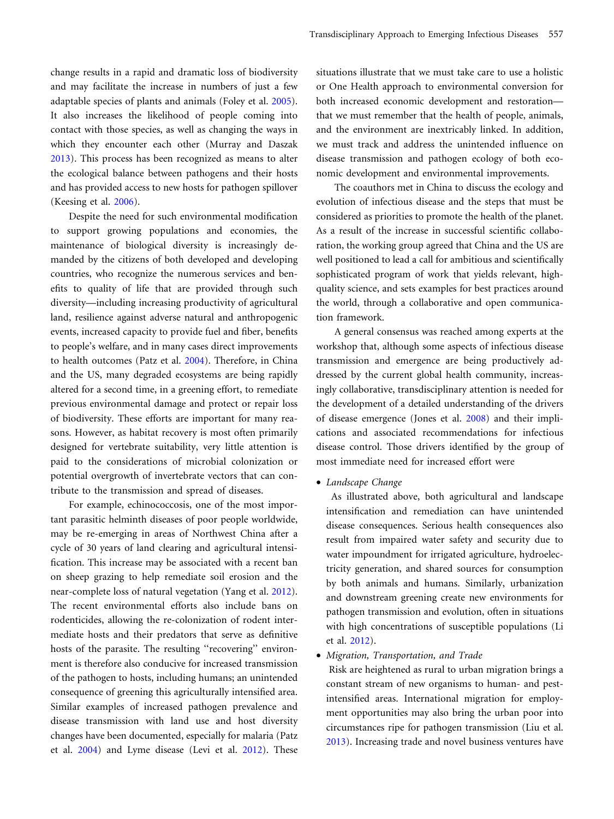change results in a rapid and dramatic loss of biodiversity and may facilitate the increase in numbers of just a few adaptable species of plants and animals (Foley et al. [2005\)](#page-4-0). It also increases the likelihood of people coming into contact with those species, as well as changing the ways in which they encounter each other (Murray and Daszak [2013](#page-4-0)). This process has been recognized as means to alter the ecological balance between pathogens and their hosts and has provided access to new hosts for pathogen spillover (Keesing et al. [2006](#page-4-0)).

Despite the need for such environmental modification to support growing populations and economies, the maintenance of biological diversity is increasingly demanded by the citizens of both developed and developing countries, who recognize the numerous services and benefits to quality of life that are provided through such diversity—including increasing productivity of agricultural land, resilience against adverse natural and anthropogenic events, increased capacity to provide fuel and fiber, benefits to people's welfare, and in many cases direct improvements to health outcomes (Patz et al. [2004\)](#page-4-0). Therefore, in China and the US, many degraded ecosystems are being rapidly altered for a second time, in a greening effort, to remediate previous environmental damage and protect or repair loss of biodiversity. These efforts are important for many reasons. However, as habitat recovery is most often primarily designed for vertebrate suitability, very little attention is paid to the considerations of microbial colonization or potential overgrowth of invertebrate vectors that can contribute to the transmission and spread of diseases.

For example, echinococcosis, one of the most important parasitic helminth diseases of poor people worldwide, may be re-emerging in areas of Northwest China after a cycle of 30 years of land clearing and agricultural intensification. This increase may be associated with a recent ban on sheep grazing to help remediate soil erosion and the near-complete loss of natural vegetation (Yang et al. [2012\)](#page-4-0). The recent environmental efforts also include bans on rodenticides, allowing the re-colonization of rodent intermediate hosts and their predators that serve as definitive hosts of the parasite. The resulting "recovering" environment is therefore also conducive for increased transmission of the pathogen to hosts, including humans; an unintended consequence of greening this agriculturally intensified area. Similar examples of increased pathogen prevalence and disease transmission with land use and host diversity changes have been documented, especially for malaria (Patz et al. [2004](#page-4-0)) and Lyme disease (Levi et al. [2012\)](#page-4-0). These

situations illustrate that we must take care to use a holistic or One Health approach to environmental conversion for both increased economic development and restoration that we must remember that the health of people, animals, and the environment are inextricably linked. In addition, we must track and address the unintended influence on disease transmission and pathogen ecology of both economic development and environmental improvements.

The coauthors met in China to discuss the ecology and evolution of infectious disease and the steps that must be considered as priorities to promote the health of the planet. As a result of the increase in successful scientific collaboration, the working group agreed that China and the US are well positioned to lead a call for ambitious and scientifically sophisticated program of work that yields relevant, highquality science, and sets examples for best practices around the world, through a collaborative and open communication framework.

A general consensus was reached among experts at the workshop that, although some aspects of infectious disease transmission and emergence are being productively addressed by the current global health community, increasingly collaborative, transdisciplinary attention is needed for the development of a detailed understanding of the drivers of disease emergence (Jones et al. [2008](#page-4-0)) and their implications and associated recommendations for infectious disease control. Those drivers identified by the group of most immediate need for increased effort were

• Landscape Change

As illustrated above, both agricultural and landscape intensification and remediation can have unintended disease consequences. Serious health consequences also result from impaired water safety and security due to water impoundment for irrigated agriculture, hydroelectricity generation, and shared sources for consumption by both animals and humans. Similarly, urbanization and downstream greening create new environments for pathogen transmission and evolution, often in situations with high concentrations of susceptible populations (Li et al. [2012\)](#page-4-0).

• Migration, Transportation, and Trade

Risk are heightened as rural to urban migration brings a constant stream of new organisms to human- and pestintensified areas. International migration for employment opportunities may also bring the urban poor into circumstances ripe for pathogen transmission (Liu et al. [2013\)](#page-4-0). Increasing trade and novel business ventures have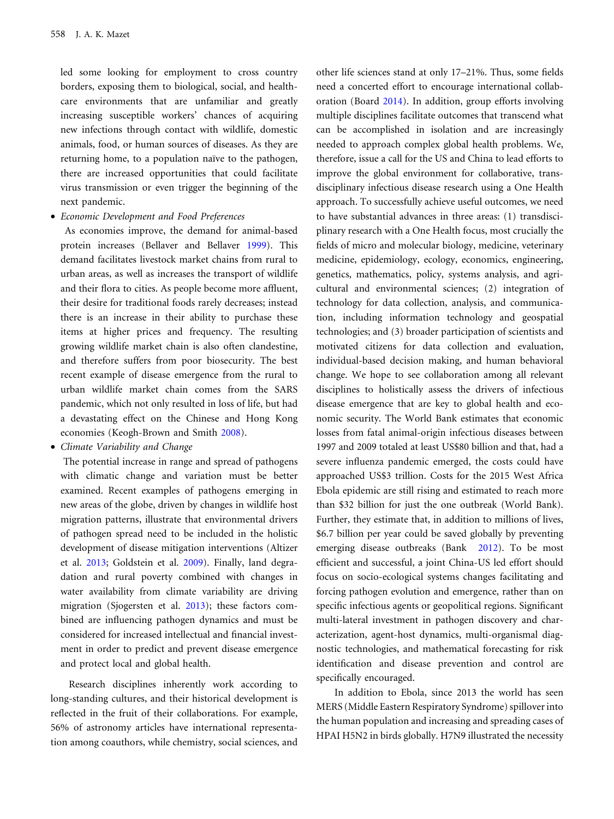led some looking for employment to cross country borders, exposing them to biological, social, and healthcare environments that are unfamiliar and greatly increasing susceptible workers' chances of acquiring new infections through contact with wildlife, domestic animals, food, or human sources of diseases. As they are returning home, to a population naïve to the pathogen, there are increased opportunities that could facilitate virus transmission or even trigger the beginning of the next pandemic.

• Economic Development and Food Preferences

As economies improve, the demand for animal-based protein increases (Bellaver and Bellaver [1999\)](#page-4-0). This demand facilitates livestock market chains from rural to urban areas, as well as increases the transport of wildlife and their flora to cities. As people become more affluent, their desire for traditional foods rarely decreases; instead there is an increase in their ability to purchase these items at higher prices and frequency. The resulting growing wildlife market chain is also often clandestine, and therefore suffers from poor biosecurity. The best recent example of disease emergence from the rural to urban wildlife market chain comes from the SARS pandemic, which not only resulted in loss of life, but had a devastating effect on the Chinese and Hong Kong economies (Keogh-Brown and Smith [2008\)](#page-4-0).

• Climate Variability and Change

The potential increase in range and spread of pathogens with climatic change and variation must be better examined. Recent examples of pathogens emerging in new areas of the globe, driven by changes in wildlife host migration patterns, illustrate that environmental drivers of pathogen spread need to be included in the holistic development of disease mitigation interventions (Altizer et al. [2013;](#page-4-0) Goldstein et al. [2009](#page-4-0)). Finally, land degradation and rural poverty combined with changes in water availability from climate variability are driving migration (Sjogersten et al. [2013\)](#page-4-0); these factors combined are influencing pathogen dynamics and must be considered for increased intellectual and financial investment in order to predict and prevent disease emergence and protect local and global health.

Research disciplines inherently work according to long-standing cultures, and their historical development is reflected in the fruit of their collaborations. For example, 56% of astronomy articles have international representation among coauthors, while chemistry, social sciences, and

other life sciences stand at only 17–21%. Thus, some fields need a concerted effort to encourage international collaboration (Board [2014\)](#page-4-0). In addition, group efforts involving multiple disciplines facilitate outcomes that transcend what can be accomplished in isolation and are increasingly needed to approach complex global health problems. We, therefore, issue a call for the US and China to lead efforts to improve the global environment for collaborative, transdisciplinary infectious disease research using a One Health approach. To successfully achieve useful outcomes, we need to have substantial advances in three areas: (1) transdisciplinary research with a One Health focus, most crucially the fields of micro and molecular biology, medicine, veterinary medicine, epidemiology, ecology, economics, engineering, genetics, mathematics, policy, systems analysis, and agricultural and environmental sciences; (2) integration of technology for data collection, analysis, and communication, including information technology and geospatial technologies; and (3) broader participation of scientists and motivated citizens for data collection and evaluation, individual-based decision making, and human behavioral change. We hope to see collaboration among all relevant disciplines to holistically assess the drivers of infectious disease emergence that are key to global health and economic security. The World Bank estimates that economic losses from fatal animal-origin infectious diseases between 1997 and 2009 totaled at least US\$80 billion and that, had a severe influenza pandemic emerged, the costs could have approached US\$3 trillion. Costs for the 2015 West Africa Ebola epidemic are still rising and estimated to reach more than \$32 billion for just the one outbreak (World Bank). Further, they estimate that, in addition to millions of lives, \$6.7 billion per year could be saved globally by preventing emerging disease outbreaks (Bank [2012\)](#page-4-0). To be most efficient and successful, a joint China-US led effort should focus on socio-ecological systems changes facilitating and forcing pathogen evolution and emergence, rather than on specific infectious agents or geopolitical regions. Significant multi-lateral investment in pathogen discovery and characterization, agent-host dynamics, multi-organismal diagnostic technologies, and mathematical forecasting for risk identification and disease prevention and control are specifically encouraged.

In addition to Ebola, since 2013 the world has seen MERS (Middle Eastern Respiratory Syndrome) spillover into the human population and increasing and spreading cases of HPAI H5N2 in birds globally. H7N9 illustrated the necessity